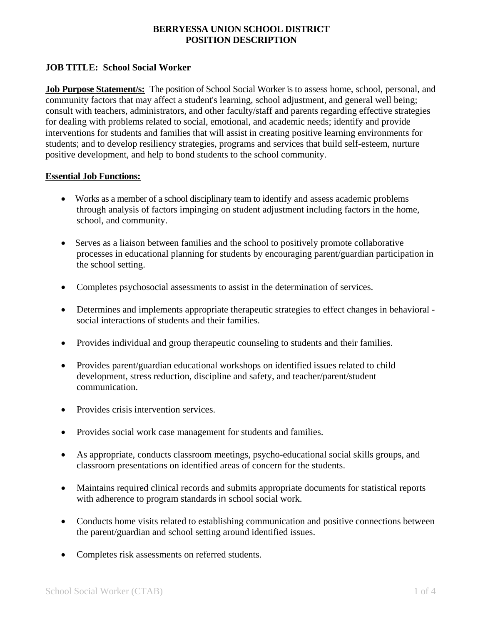# **JOB TITLE: School Social Worker**

**Job Purpose Statement/s:** The position of School Social Worker is to assess home, school, personal, and community factors that may affect a student's learning, school adjustment, and general well being; consult with teachers, administrators, and other faculty/staff and parents regarding effective strategies for dealing with problems related to social, emotional, and academic needs; identify and provide interventions for students and families that will assist in creating positive learning environments for students; and to develop resiliency strategies, programs and services that build self-esteem, nurture positive development, and help to bond students to the school community.

#### **Essential Job Functions:**

- Works as a member of a school disciplinary team to identify and assess academic problems through analysis of factors impinging on student adjustment including factors in the home, school, and community.
- Serves as a liaison between families and the school to positively promote collaborative processes in educational planning for students by encouraging parent/guardian participation in the school setting.
- Completes psychosocial assessments to assist in the determination of services.
- Determines and implements appropriate therapeutic strategies to effect changes in behavioral social interactions of students and their families.
- Provides individual and group therapeutic counseling to students and their families.
- Provides parent/guardian educational workshops on identified issues related to child development, stress reduction, discipline and safety, and teacher/parent/student communication.
- Provides crisis intervention services.
- Provides social work case management for students and families.
- As appropriate, conducts classroom meetings, psycho-educational social skills groups, and classroom presentations on identified areas of concern for the students.
- Maintains required clinical records and submits appropriate documents for statistical reports with adherence to program standards in school social work.
- Conducts home visits related to establishing communication and positive connections between the parent/guardian and school setting around identified issues.
- Completes risk assessments on referred students.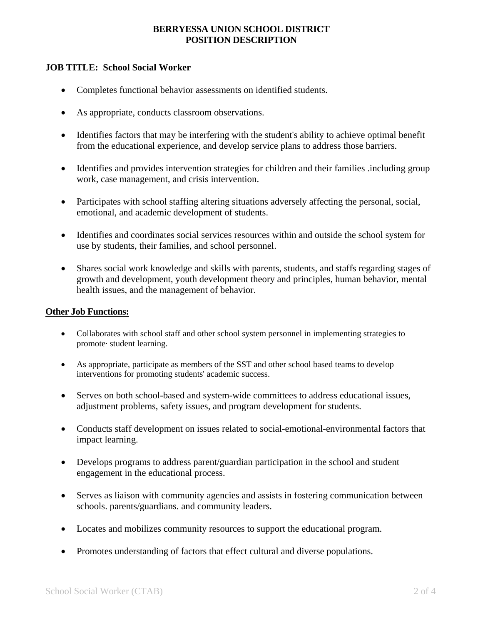## **JOB TITLE: School Social Worker**

- Completes functional behavior assessments on identified students.
- As appropriate, conducts classroom observations.
- Identifies factors that may be interfering with the student's ability to achieve optimal benefit from the educational experience, and develop service plans to address those barriers.
- Identifies and provides intervention strategies for children and their families .including group work, case management, and crisis intervention.
- Participates with school staffing altering situations adversely affecting the personal, social, emotional, and academic development of students.
- Identifies and coordinates social services resources within and outside the school system for use by students, their families, and school personnel.
- Shares social work knowledge and skills with parents, students, and staffs regarding stages of growth and development, youth development theory and principles, human behavior, mental health issues, and the management of behavior.

#### **Other Job Functions:**

- Collaborates with school staff and other school system personnel in implementing strategies to promote· student learning.
- As appropriate, participate as members of the SST and other school based teams to develop interventions for promoting students' academic success.
- Serves on both school-based and system-wide committees to address educational issues, adjustment problems, safety issues, and program development for students.
- Conducts staff development on issues related to social-emotional-environmental factors that impact learning.
- Develops programs to address parent/guardian participation in the school and student engagement in the educational process.
- Serves as liaison with community agencies and assists in fostering communication between schools. parents/guardians. and community leaders.
- Locates and mobilizes community resources to support the educational program.
- Promotes understanding of factors that effect cultural and diverse populations.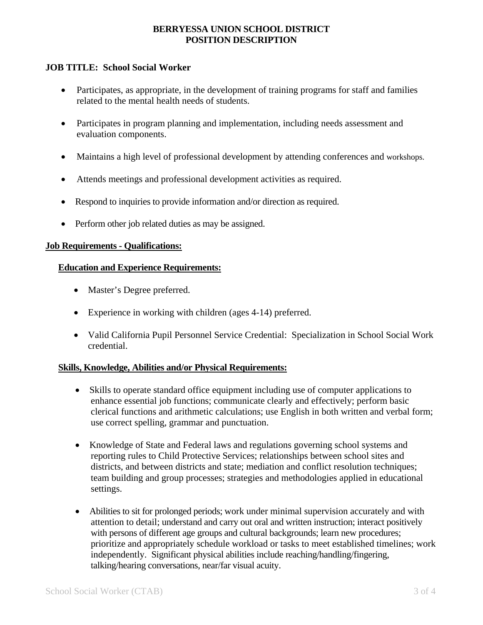# **JOB TITLE: School Social Worker**

- Participates, as appropriate, in the development of training programs for staff and families related to the mental health needs of students.
- Participates in program planning and implementation, including needs assessment and evaluation components.
- Maintains a high level of professional development by attending conferences and workshops.
- Attends meetings and professional development activities as required.
- Respond to inquiries to provide information and/or direction as required.
- Perform other job related duties as may be assigned.

#### **Job Requirements - Qualifications:**

#### **Education and Experience Requirements:**

- Master's Degree preferred.
- Experience in working with children (ages 4-14) preferred.
- Valid California Pupil Personnel Service Credential: Specialization in School Social Work credential.

#### **Skills, Knowledge, Abilities and/or Physical Requirements:**

- Skills to operate standard office equipment including use of computer applications to enhance essential job functions; communicate clearly and effectively; perform basic clerical functions and arithmetic calculations; use English in both written and verbal form; use correct spelling, grammar and punctuation.
- Knowledge of State and Federal laws and regulations governing school systems and reporting rules to Child Protective Services; relationships between school sites and districts, and between districts and state; mediation and conflict resolution techniques; team building and group processes; strategies and methodologies applied in educational settings.
- Abilities to sit for prolonged periods; work under minimal supervision accurately and with attention to detail; understand and carry out oral and written instruction; interact positively with persons of different age groups and cultural backgrounds; learn new procedures; prioritize and appropriately schedule workload or tasks to meet established timelines; work independently. Significant physical abilities include reaching/handling/fingering, talking/hearing conversations, near/far visual acuity.